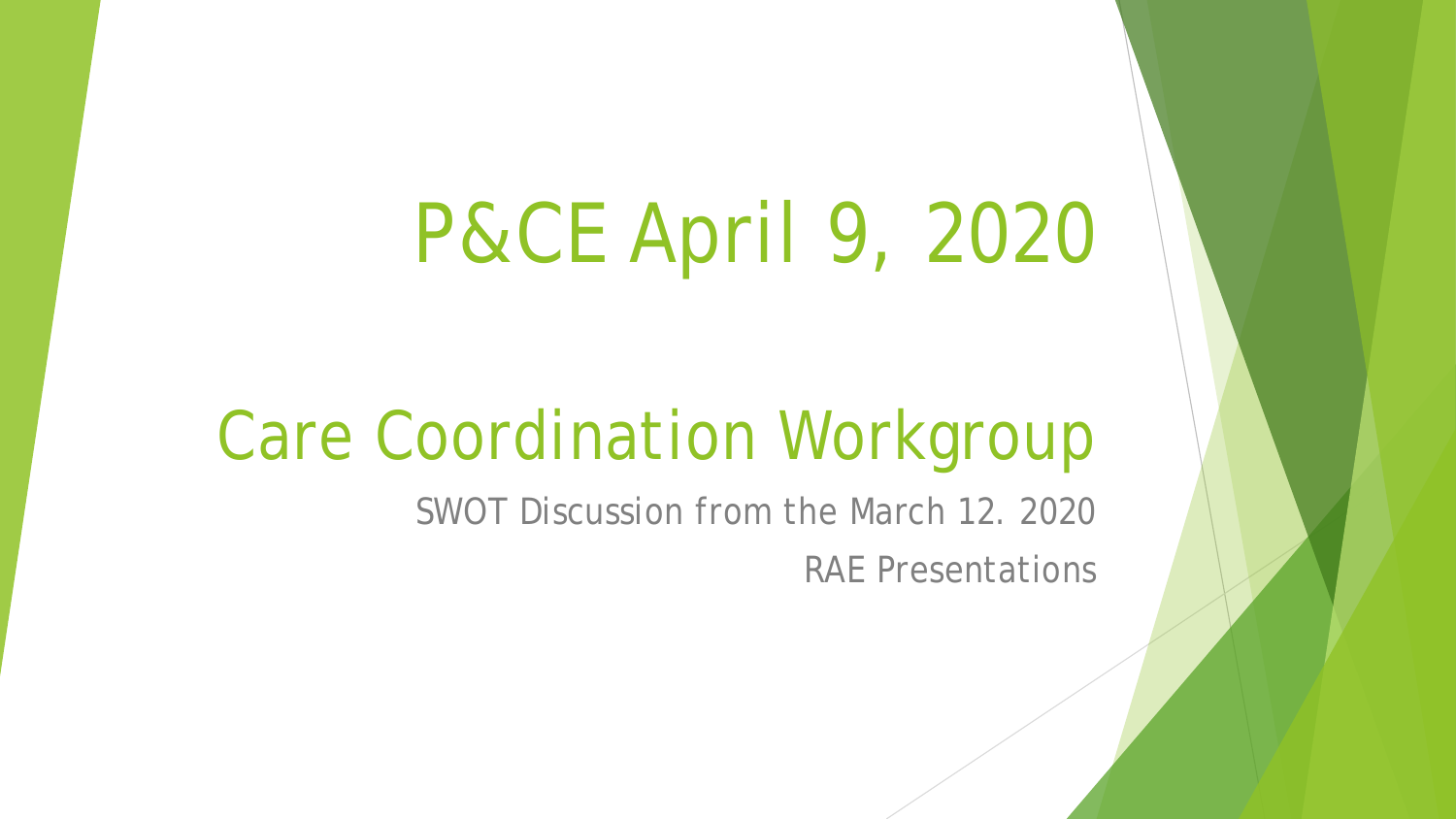# P&CE April 9, 2020

## Care Coordination Workgroup

SWOT Discussion from the March 12. 2020

RAE Presentations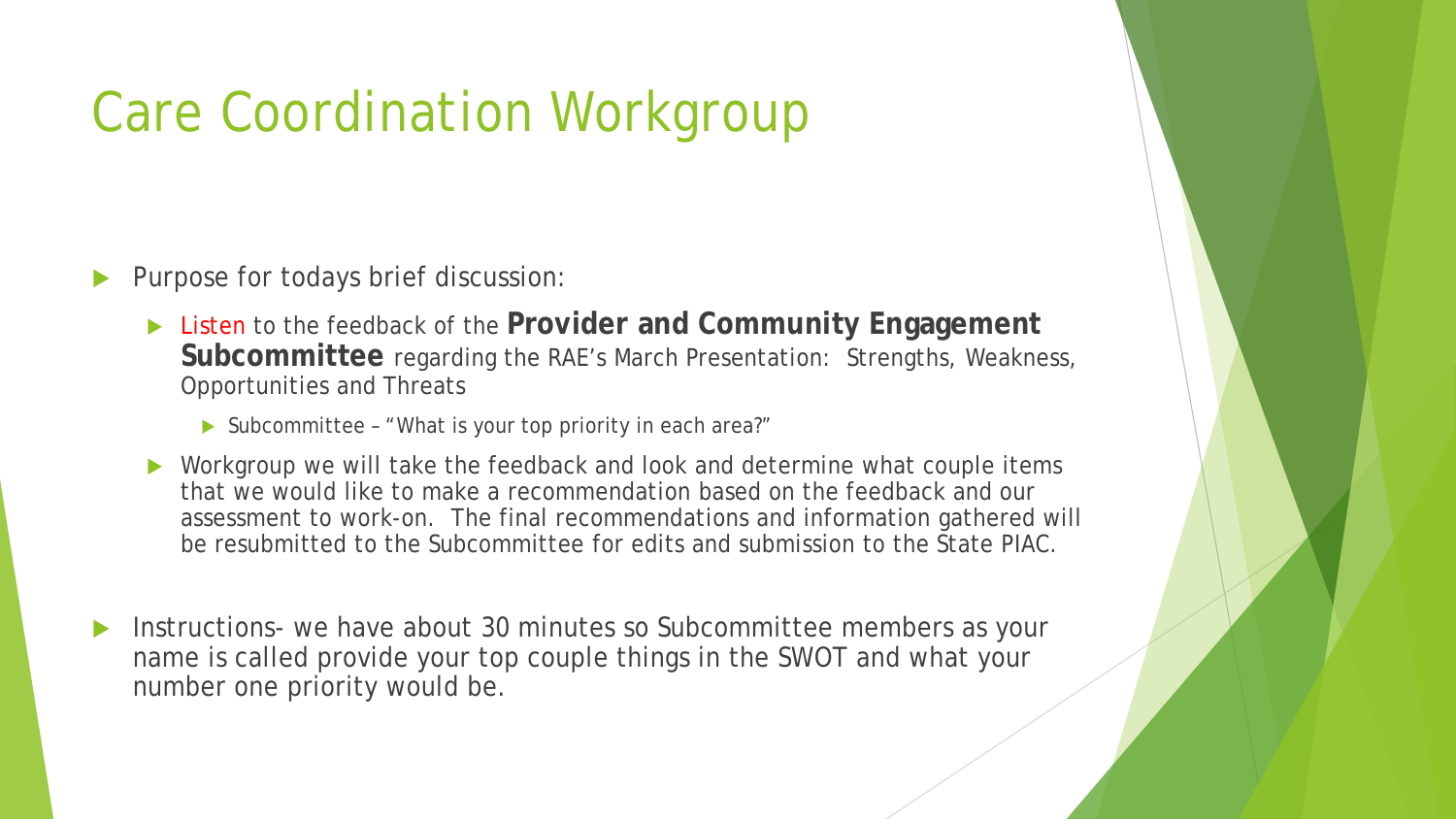#### Care Coordination Workgroup

- Purpose for todays brief discussion:
	- ▶ Listen to the feedback of the **Provider and Community Engagement Subcommittee** regarding the RAE's March Presentation: Strengths, Weakness, Opportunities and Threats
		- ▶ Subcommittee "What is your top priority in each area?"
	- ▶ Workgroup we will take the feedback and look and determine what couple items that we would like to make a recommendation based on the feedback and our assessment to work-on. The final recommendations and information gathered will be resubmitted to the Subcommittee for edits and submission to the State PIAC.
- Instructions- we have about 30 minutes so Subcommittee members as your name is called provide your top couple things in the SWOT and what your number one priority would be.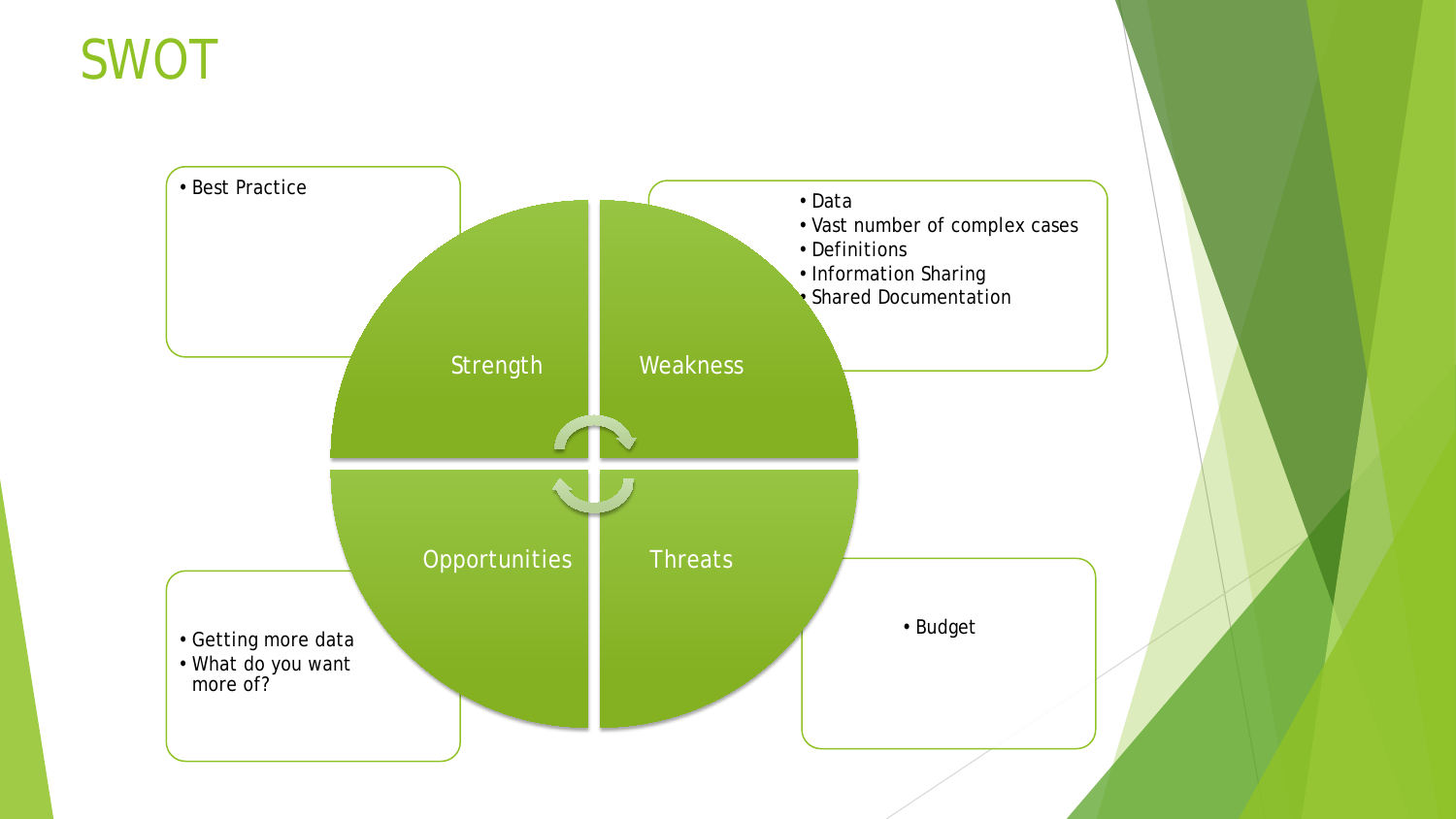#### SWOT

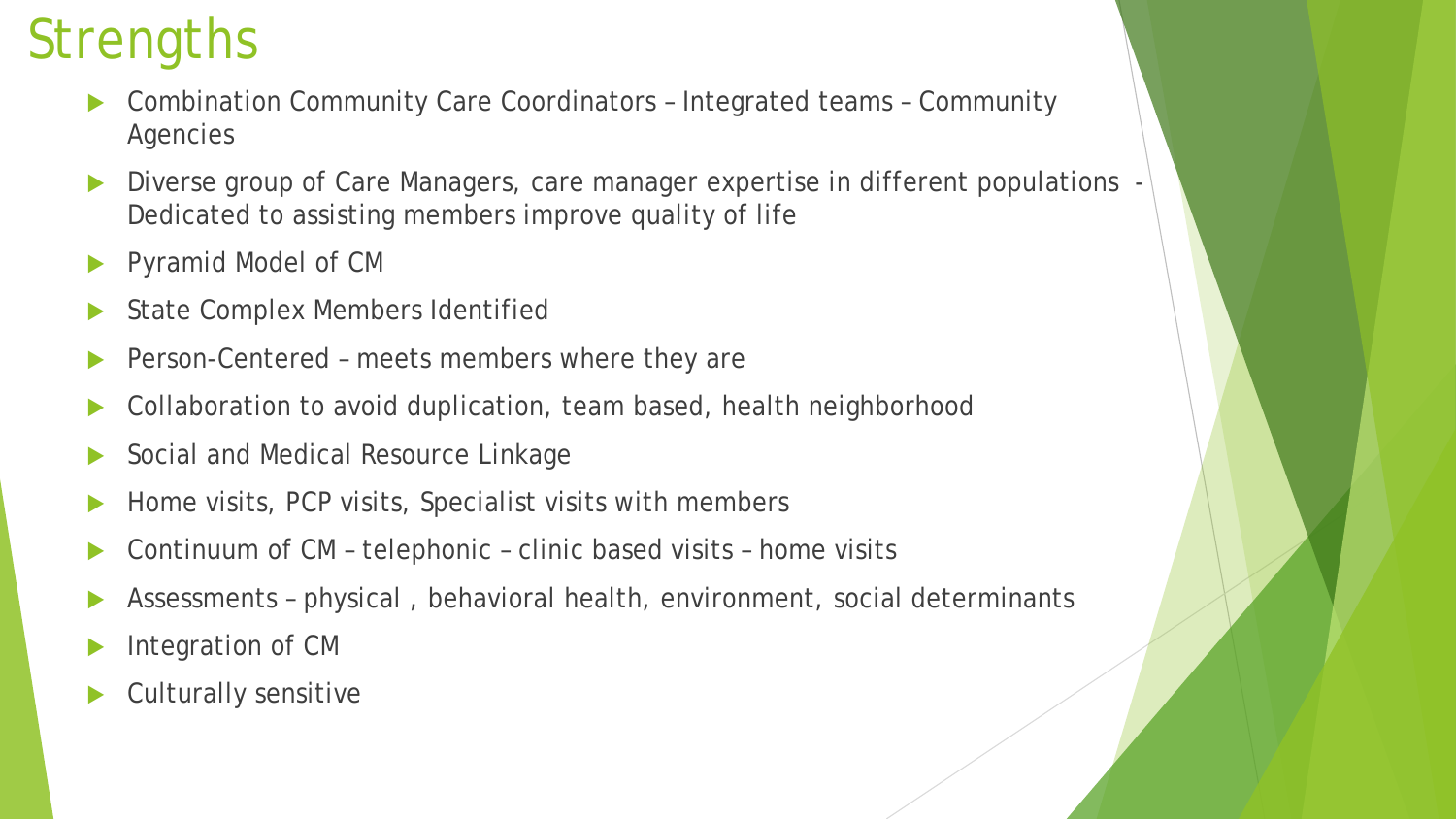## **Strengths**

- Combination Community Care Coordinators Integrated teams Community **Agencies**
- Diverse group of Care Managers, care manager expertise in different populations -Dedicated to assisting members improve quality of life
- Pyramid Model of CM
- State Complex Members Identified
- Person-Centered meets members where they are
- Collaboration to avoid duplication, team based, health neighborhood
- Social and Medical Resource Linkage
- Home visits, PCP visits, Specialist visits with members
- Continuum of CM telephonic clinic based visits home visits
- Assessments physical , behavioral health, environment, social determinants
- Integration of CM
- Culturally sensitive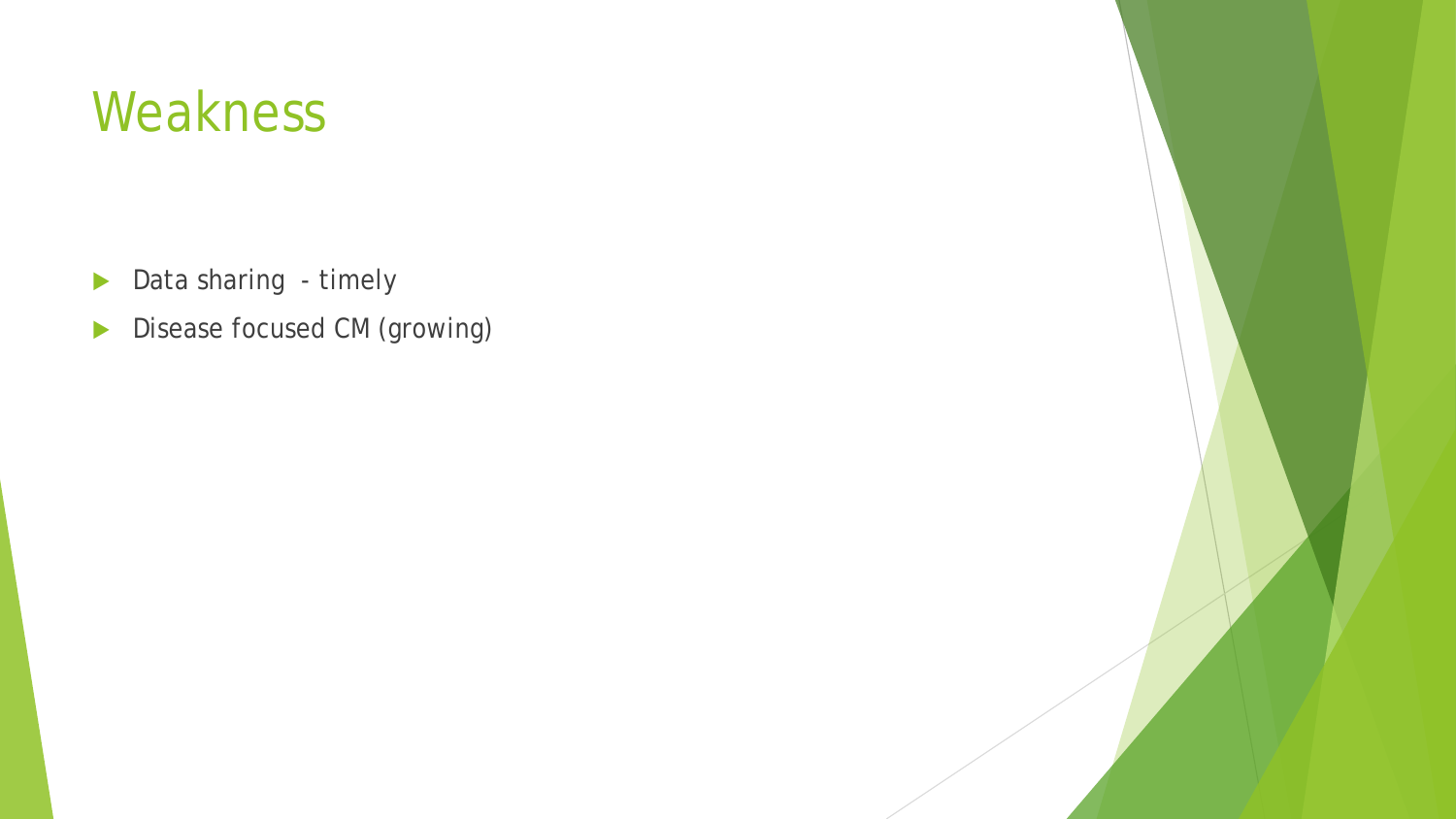#### Weakness

- Data sharing timely
- Disease focused CM (growing)

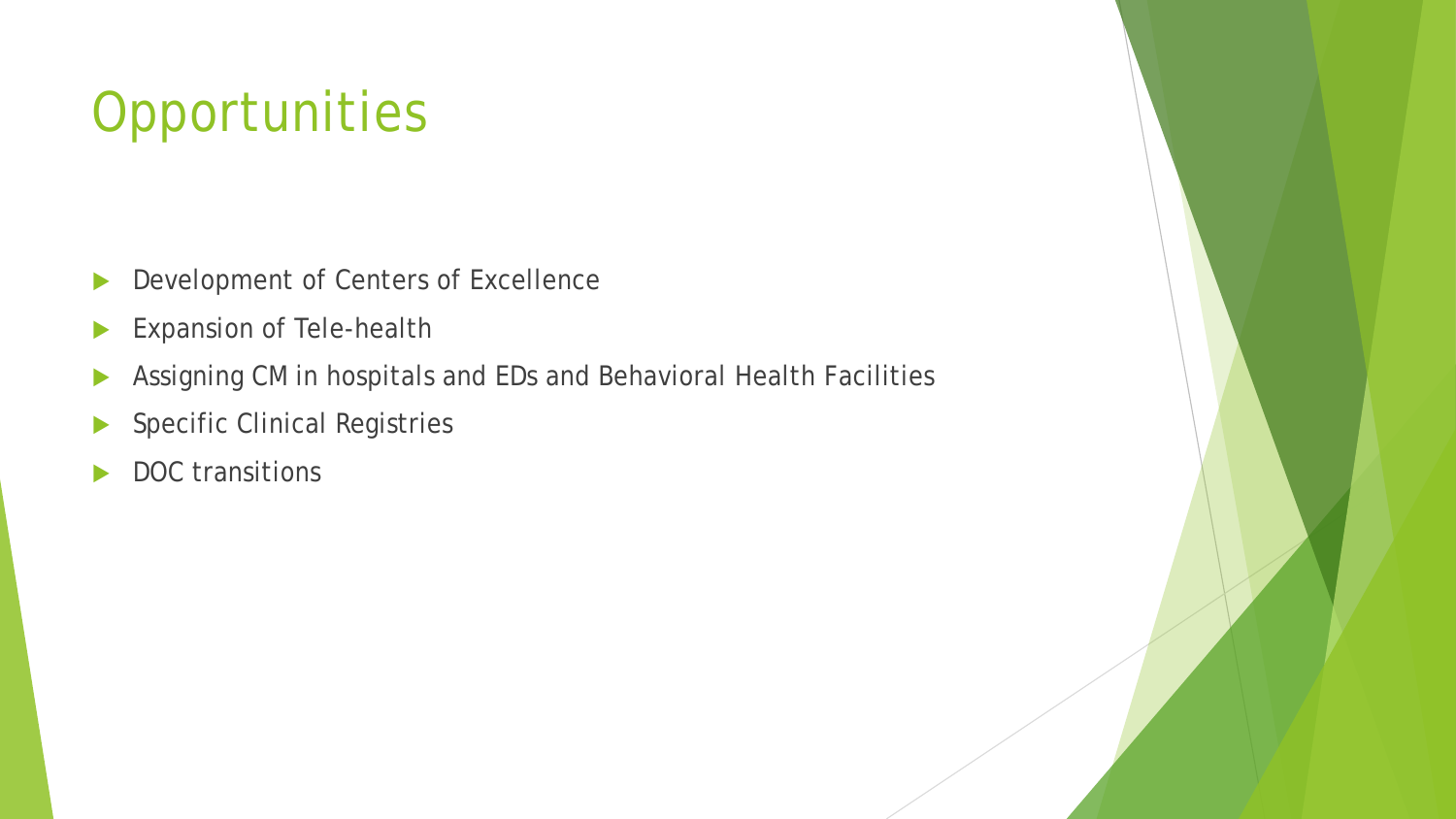## **Opportunities**

- Development of Centers of Excellence
- Expansion of Tele-health
- Assigning CM in hospitals and EDs and Behavioral Health Facilities
- Specific Clinical Registries
- DOC transitions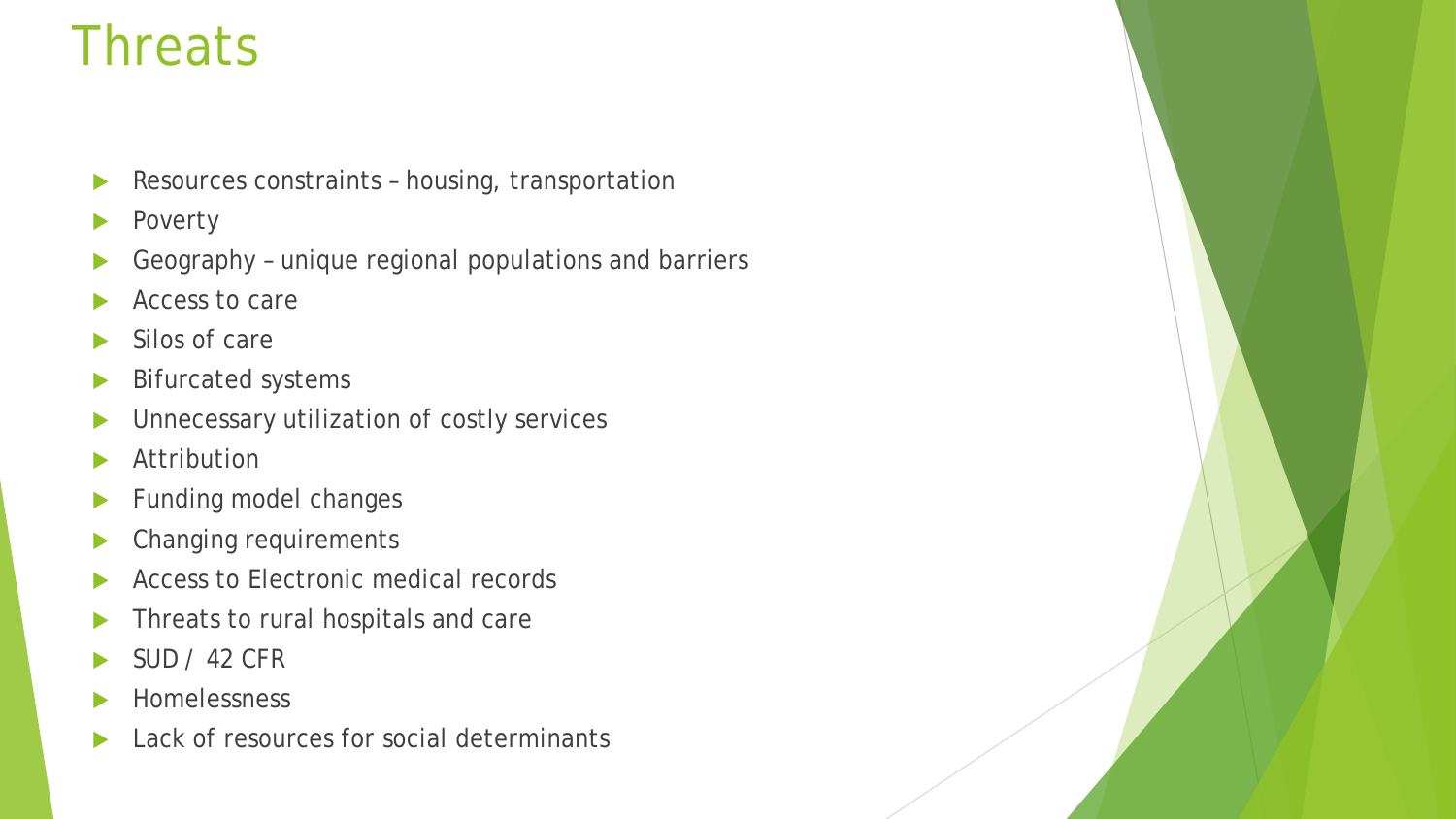#### **Threats**

- Resources constraints housing, transportation
- Poverty
- Geography unique regional populations and barriers
- Access to care
- Silos of care
- Bifurcated systems
- Unnecessary utilization of costly services
- **Attribution**
- Funding model changes
- Changing requirements
- Access to Electronic medical records
- Threats to rural hospitals and care
- SUD / 42 CFR
- Homelessness
- Lack of resources for social determinants